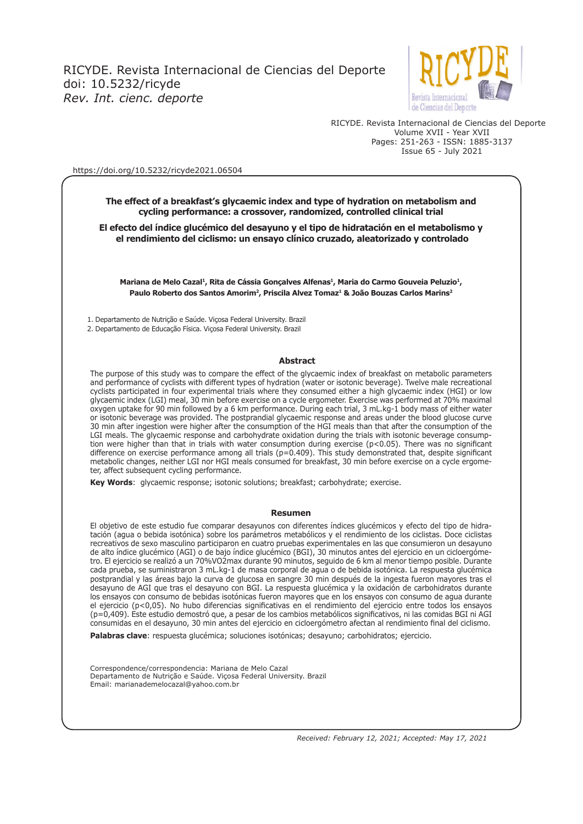

RICYDE. Revista Internacional de Ciencias del Deporte Volume XVII - Year XVII Pages: 251-263 - ISSN: 1885-3137 Issue 65 - July 2021

#### https://doi.org/10.5232/ricyde2021.06504

**The effect of a breakfast's glycaemic index and type of hydration on metabolism and cycling performance: a crossover, randomized, controlled clinical trial**

**El efecto del índice glucémico del desayuno y el tipo de hidratación en el metabolismo y el rendimiento del ciclismo: un ensayo clínico cruzado, aleatorizado y controlado**

Mariana de Melo Cazal<sup>1</sup>, Rita de Cássia Gonçalves Alfenas<sup>1</sup>, Maria do Carmo Gouveia Peluzio<sup>1</sup>, Paulo Roberto dos Santos Amorim<sup>2</sup>, Priscila Alvez Tomaz<sup>1</sup> & João Bouzas Carlos Marins<sup>2</sup>

1. Departamento de Nutrição e Saúde. Viçosa Federal University. Brazil

2. Departamento de Educação Física. Viçosa Federal University. Brazil

#### **Abstract**

The purpose of this study was to compare the effect of the glycaemic index of breakfast on metabolic parameters and performance of cyclists with different types of hydration (water or isotonic beverage). Twelve male recreational cyclists participated in four experimental trials where they consumed either a high glycaemic index (HGI) or low glycaemic index (LGI) meal, 30 min before exercise on a cycle ergometer. Exercise was performed at 70% maximal oxygen uptake for 90 min followed by a 6 km performance. During each trial, 3 mL.kg-1 body mass of either water or isotonic beverage was provided. The postprandial glycaemic response and areas under the blood glucose curve 30 min after ingestion were higher after the consumption of the HGI meals than that after the consumption of the LGI meals. The glycaemic response and carbohydrate oxidation during the trials with isotonic beverage consumption were higher than that in trials with water consumption during exercise (p<0.05). There was no signifcant difference on exercise performance among all trials (p=0.409). This study demonstrated that, despite significant metabolic changes, neither LGI nor HGI meals consumed for breakfast, 30 min before exercise on a cycle ergometer, affect subsequent cycling performance.

**Key Words**: glycaemic response; isotonic solutions; breakfast; carbohydrate; exercise.

#### **Resumen**

El objetivo de este estudio fue comparar desayunos con diferentes índices glucémicos y efecto del tipo de hidratación (agua o bebida isotónica) sobre los parámetros metabólicos y el rendimiento de los ciclistas. Doce ciclistas recreativos de sexo masculino participaron en cuatro pruebas experimentales en las que consumieron un desayuno de alto índice glucémico (AGI) o de bajo índice glucémico (BGI), 30 minutos antes del ejercicio en un cicloergómetro. El ejercicio se realizó a un 70%VO2max durante 90 minutos, seguido de 6 km al menor tiempo posible. Durante cada prueba, se suministraron 3 mL.kg-1 de masa corporal de agua o de bebida isotónica. La respuesta glucémica postprandial y las áreas bajo la curva de glucosa en sangre 30 min después de la ingesta fueron mayores tras el desayuno de AGI que tras el desayuno con BGI. La respuesta glucémica y la oxidación de carbohidratos durante los ensayos con consumo de bebidas isotónicas fueron mayores que en los ensayos con consumo de agua durante el ejercicio (p<0,05). No hubo diferencias signifcativas en el rendimiento del ejercicio entre todos los ensayos (p=0,409). Este estudio demostró que, a pesar de los cambios metabólicos signifcativos, ni las comidas BGI ni AGI consumidas en el desayuno, 30 min antes del ejercicio en cicloergómetro afectan al rendimiento fnal del ciclismo.

**Palabras clave**: respuesta glucémica; soluciones isotónicas; desayuno; carbohidratos; ejercicio.

Correspondence/correspondencia: Mariana de Melo Cazal Departamento de Nutrição e Saúde. Viçosa Federal University. Brazil Email: marianademelocazal@yahoo.com.br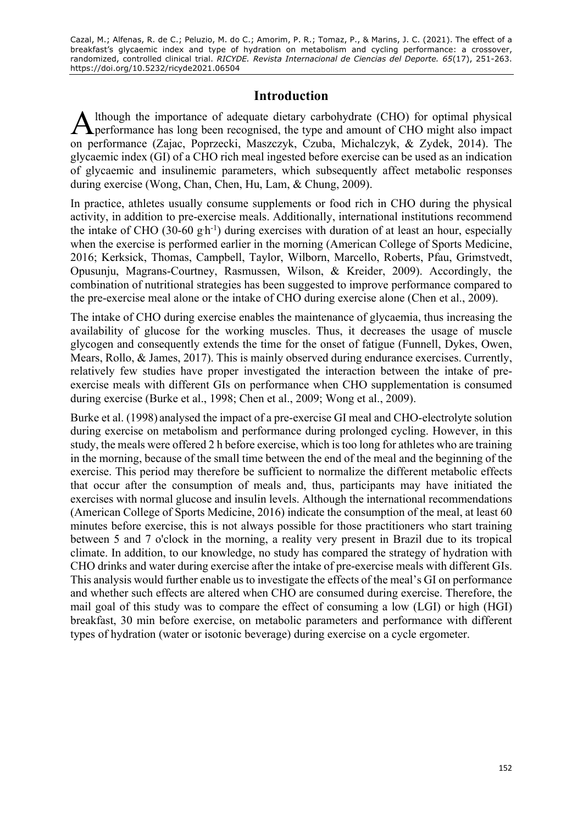## **Introduction**

lthough the importance of adequate dietary carbohydrate (CHO) for optimal physical A lthough the importance of adequate dietary carbohydrate (CHO) for optimal physical performance has long been recognised, the type and amount of CHO might also impact on performance (Zajac, Poprzecki, Maszczyk, Czuba, Michalczyk, & Zydek, 2014). The glycaemic index (GI) of a CHO rich meal ingested before exercise can be used as an indication of glycaemic and insulinemic parameters, which subsequently affect metabolic responses during exercise (Wong, Chan, Chen, Hu, Lam, & Chung, 2009).

In practice, athletes usually consume supplements or food rich in CHO during the physical activity, in addition to pre-exercise meals. Additionally, international institutions recommend the intake of CHO (30-60  $\text{gh}^{-1}$ ) during exercises with duration of at least an hour, especially when the exercise is performed earlier in the morning (American College of Sports Medicine, 2016; Kerksick, Thomas, Campbell, Taylor, Wilborn, Marcello, Roberts, Pfau, Grimstvedt, Opusunju, Magrans-Courtney, Rasmussen, Wilson, & Kreider, 2009). Accordingly, the combination of nutritional strategies has been suggested to improve performance compared to the pre-exercise meal alone or the intake of CHO during exercise alone (Chen et al., 2009).

The intake of CHO during exercise enables the maintenance of glycaemia, thus increasing the availability of glucose for the working muscles. Thus, it decreases the usage of muscle glycogen and consequently extends the time for the onset of fatigue (Funnell, Dykes, Owen, Mears, Rollo, & James, 2017). This is mainly observed during endurance exercises. Currently, relatively few studies have proper investigated the interaction between the intake of preexercise meals with different GIs on performance when CHO supplementation is consumed during exercise (Burke et al., 1998; Chen et al., 2009; Wong et al., 2009).

Burke et al. (1998) analysed the impact of a pre-exercise GI meal and CHO-electrolyte solution during exercise on metabolism and performance during prolonged cycling. However, in this study, the meals were offered 2 h before exercise, which is too long for athletes who are training in the morning, because of the small time between the end of the meal and the beginning of the exercise. This period may therefore be sufficient to normalize the different metabolic effects that occur after the consumption of meals and, thus, participants may have initiated the exercises with normal glucose and insulin levels. Although the international recommendations (American College of Sports Medicine, 2016) indicate the consumption of the meal, at least 60 minutes before exercise, this is not always possible for those practitioners who start training between 5 and 7 o'clock in the morning, a reality very present in Brazil due to its tropical climate. In addition, to our knowledge, no study has compared the strategy of hydration with CHO drinks and water during exercise after the intake of pre-exercise meals with different GIs. This analysis would further enable us to investigate the effects of the meal's GI on performance and whether such effects are altered when CHO are consumed during exercise. Therefore, the mail goal of this study was to compare the effect of consuming a low (LGI) or high (HGI) breakfast, 30 min before exercise, on metabolic parameters and performance with different types of hydration (water or isotonic beverage) during exercise on a cycle ergometer.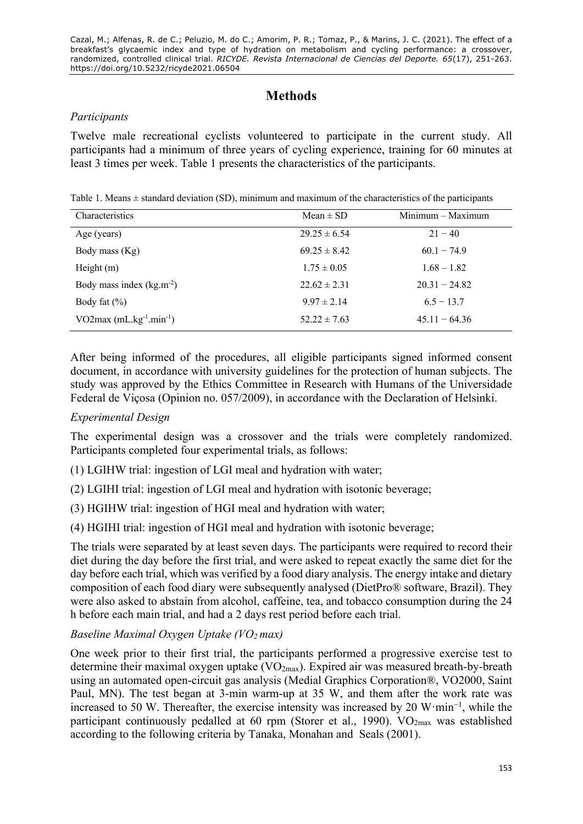# **Methods**

#### *Participants*

Twelve male recreational cyclists volunteered to participate in the current study. All participants had a minimum of three years of cycling experience, training for 60 minutes at least 3 times per week. Table 1 presents the characteristics of the participants.

Table 1. Means  $\pm$  standard deviation (SD), minimum and maximum of the characteristics of the participants

| Characteristics                | Mean $\pm$ SD    | $Minimum - Maximum$ |
|--------------------------------|------------------|---------------------|
| Age (years)                    | $29.25 \pm 6.54$ | $21 - 40$           |
| Body mass (Kg)                 | $69.25 \pm 8.42$ | $60.1 - 74.9$       |
| Height $(m)$                   | $1.75 \pm 0.05$  | $1.68 - 1.82$       |
| Body mass index $(kg.m^{-2})$  | $22.62 \pm 2.31$ | $20.31 - 24.82$     |
| Body fat $(\% )$               | $9.97 \pm 2.14$  | $6.5 - 13.7$        |
| VO2max $(mL.kg^{-1}.min^{-1})$ | $52.22 \pm 7.63$ | $45.11 - 64.36$     |

After being informed of the procedures, all eligible participants signed informed consent document, in accordance with university guidelines for the protection of human subjects. The study was approved by the Ethics Committee in Research with Humans of the Universidade Federal de Viçosa (Opinion no. 057/2009), in accordance with the Declaration of Helsinki.

## *Experimental Design*

The experimental design was a crossover and the trials were completely randomized. Participants completed four experimental trials, as follows:

(1) LGIHW trial: ingestion of LGI meal and hydration with water;

- (2) LGIHI trial: ingestion of LGI meal and hydration with isotonic beverage;
- (3) HGIHW trial: ingestion of HGI meal and hydration with water;
- (4) HGIHI trial: ingestion of HGI meal and hydration with isotonic beverage;

The trials were separated by at least seven days. The participants were required to record their diet during the day before the first trial, and were asked to repeat exactly the same diet for the day before each trial, which was verified by a food diary analysis. The energy intake and dietary composition of each food diary were subsequently analysed (DietPro® software, Brazil). They were also asked to abstain from alcohol, caffeine, tea, and tobacco consumption during the 24 h before each main trial, and had a 2 days rest period before each trial.

### *Baseline Maximal Oxygen Uptake (VO2 max)*

One week prior to their first trial, the participants performed a progressive exercise test to determine their maximal oxygen uptake  $(VO_{2max})$ . Expired air was measured breath-by-breath using an automated open-circuit gas analysis (Medial Graphics Corporation®, VO2000, Saint Paul, MN). The test began at 3-min warm-up at 35 W, and them after the work rate was increased to 50 W. Thereafter, the exercise intensity was increased by 20 W·min−1 , while the participant continuously pedalled at 60 rpm (Storer et al., 1990).  $VO<sub>2max</sub>$  was established according to the following criteria by Tanaka, Monahan and Seals (2001).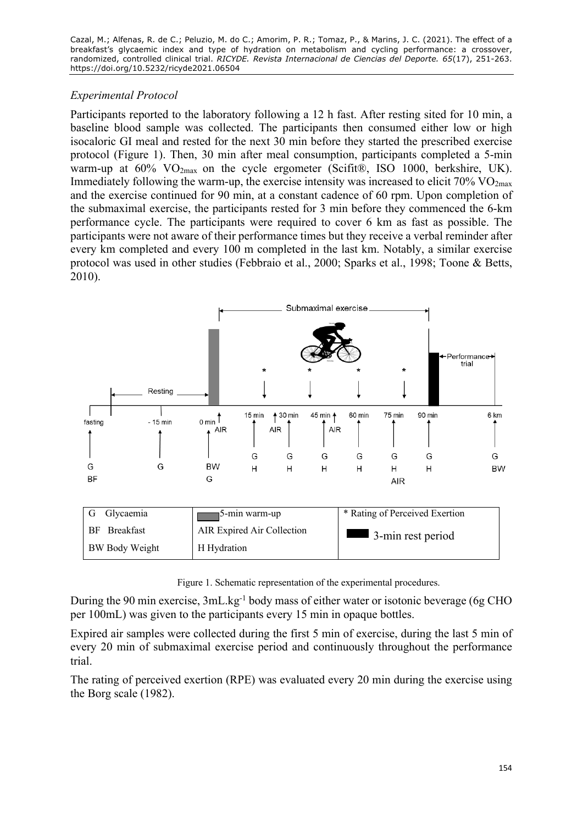### *Experimental Protocol*

Participants reported to the laboratory following a 12 h fast. After resting sited for 10 min, a baseline blood sample was collected. The participants then consumed either low or high isocaloric GI meal and rested for the next 30 min before they started the prescribed exercise protocol (Figure 1). Then, 30 min after meal consumption, participants completed a 5-min warm-up at  $60\%$  VO<sub>2max</sub> on the cycle ergometer (Scifit®, ISO 1000, berkshire, UK). Immediately following the warm-up, the exercise intensity was increased to elicit  $70\%$  VO<sub>2max</sub> and the exercise continued for 90 min, at a constant cadence of 60 rpm. Upon completion of the submaximal exercise, the participants rested for 3 min before they commenced the 6-km performance cycle. The participants were required to cover 6 km as fast as possible. The participants were not aware of their performance times but they receive a verbal reminder after every km completed and every 100 m completed in the last km. Notably, a similar exercise protocol was used in other studies (Febbraio et al., 2000; Sparks et al., 1998; Toone & Betts, 2010).



| G Glycaemia            | ¶5-min warm-up             | * Rating of Perceived Exertion   |
|------------------------|----------------------------|----------------------------------|
| <b>Breakfast</b><br>BF | AIR Expired Air Collection | $\blacksquare$ 3-min rest period |
| BW Body Weight         | H Hydration                |                                  |

Figure 1. Schematic representation of the experimental procedures.

During the 90 min exercise, 3mL.kg<sup>-1</sup> body mass of either water or isotonic beverage (6g CHO per 100mL) was given to the participants every 15 min in opaque bottles.

Expired air samples were collected during the first 5 min of exercise, during the last 5 min of every 20 min of submaximal exercise period and continuously throughout the performance trial.

The rating of perceived exertion (RPE) was evaluated every 20 min during the exercise using the Borg scale (1982).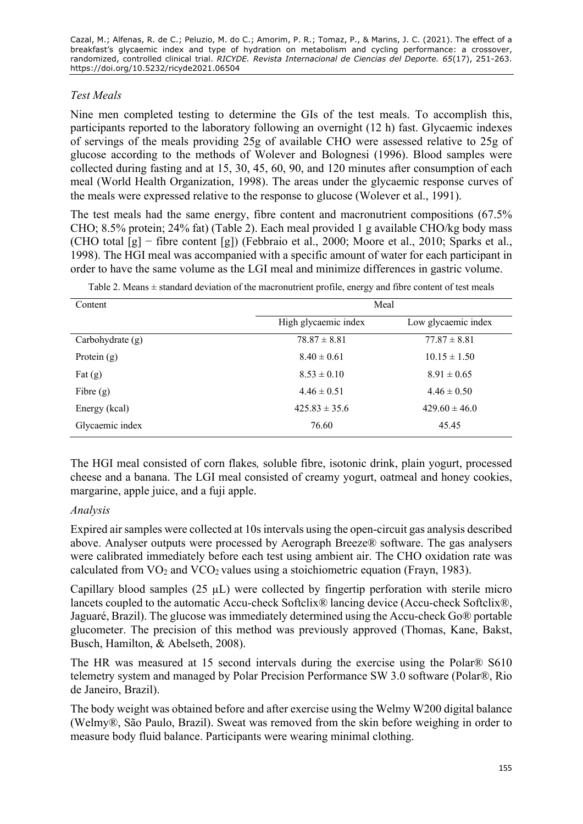## *Test Meals*

Nine men completed testing to determine the GIs of the test meals. To accomplish this, participants reported to the laboratory following an overnight (12 h) fast. Glycaemic indexes of servings of the meals providing 25g of available CHO were assessed relative to 25g of glucose according to the methods of Wolever and Bolognesi (1996). Blood samples were collected during fasting and at 15, 30, 45, 60, 90, and 120 minutes after consumption of each meal (World Health Organization, 1998). The areas under the glycaemic response curves of the meals were expressed relative to the response to glucose (Wolever et al., 1991).

The test meals had the same energy, fibre content and macronutrient compositions (67.5% CHO; 8.5% protein; 24% fat) (Table 2). Each meal provided 1 g available CHO/kg body mass (CHO total [g] − fibre content [g]) (Febbraio et al., 2000; Moore et al., 2010; Sparks et al., 1998). The HGI meal was accompanied with a specific amount of water for each participant in order to have the same volume as the LGI meal and minimize differences in gastric volume.

| Content            | Meal                 |                     |
|--------------------|----------------------|---------------------|
|                    | High glycaemic index | Low glycaemic index |
| Carbohydrate $(g)$ | $78.87 \pm 8.81$     | $77.87 \pm 8.81$    |
| Protein $(g)$      | $8.40 \pm 0.61$      | $10.15 \pm 1.50$    |
| Fat $(g)$          | $8.53 \pm 0.10$      | $8.91 \pm 0.65$     |
| Fibre $(g)$        | $4.46 \pm 0.51$      | $4.46 \pm 0.50$     |
| Energy (kcal)      | $425.83 \pm 35.6$    | $429.60 \pm 46.0$   |
| Glycaemic index    | 76.60                | 45.45               |

Table 2. Means  $\pm$  standard deviation of the macronutrient profile, energy and fibre content of test meals

The HGI meal consisted of corn flakes*,* soluble fibre, isotonic drink, plain yogurt, processed cheese and a banana. The LGI meal consisted of creamy yogurt, oatmeal and honey cookies, margarine, apple juice, and a fuji apple.

### *Analysis*

Expired air samples were collected at 10s intervals using the open-circuit gas analysis described above. Analyser outputs were processed by Aerograph Breeze® software. The gas analysers were calibrated immediately before each test using ambient air. The CHO oxidation rate was calculated from  $VO<sub>2</sub>$  and  $VCO<sub>2</sub>$  values using a stoichiometric equation (Frayn, 1983).

Capillary blood samples  $(25 \mu L)$  were collected by fingertip perforation with sterile micro lancets coupled to the automatic Accu-check Softclix® lancing device (Accu-check Softclix®, Jaguaré, Brazil). The glucose was immediately determined using the Accu-check Go® portable glucometer. The precision of this method was previously approved (Thomas, Kane, Bakst, Busch, Hamilton, & Abelseth, 2008).

The HR was measured at 15 second intervals during the exercise using the Polar® S610 telemetry system and managed by Polar Precision Performance SW 3.0 software (Polar®, Rio de Janeiro, Brazil).

The body weight was obtained before and after exercise using the Welmy W200 digital balance (Welmy®, São Paulo, Brazil). Sweat was removed from the skin before weighing in order to measure body fluid balance. Participants were wearing minimal clothing.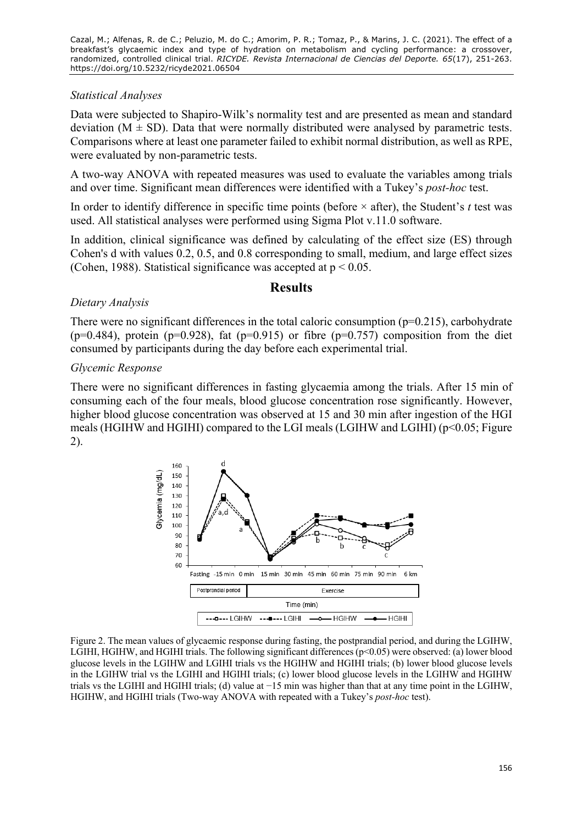#### *Statistical Analyses*

Data were subjected to Shapiro-Wilk's normality test and are presented as mean and standard deviation ( $M \pm SD$ ). Data that were normally distributed were analysed by parametric tests. Comparisons where at least one parameter failed to exhibit normal distribution, as well as RPE, were evaluated by non-parametric tests.

A two-way ANOVA with repeated measures was used to evaluate the variables among trials and over time. Significant mean differences were identified with a Tukey's *post-hoc* test.

In order to identify difference in specific time points (before  $\times$  after), the Student's *t* test was used. All statistical analyses were performed using Sigma Plot v.11.0 software.

In addition, clinical significance was defined by calculating of the effect size (ES) through Cohen's d with values 0.2, 0.5, and 0.8 corresponding to small, medium, and large effect sizes (Cohen, 1988). Statistical significance was accepted at  $p < 0.05$ .

#### **Results**

#### *Dietary Analysis*

There were no significant differences in the total caloric consumption (p=0.215), carbohydrate ( $p=0.484$ ), protein ( $p=0.928$ ), fat ( $p=0.915$ ) or fibre ( $p=0.757$ ) composition from the diet consumed by participants during the day before each experimental trial.

#### *Glycemic Response*

There were no significant differences in fasting glycaemia among the trials. After 15 min of consuming each of the four meals, blood glucose concentration rose significantly. However, higher blood glucose concentration was observed at 15 and 30 min after ingestion of the HGI meals (HGIHW and HGIHI) compared to the LGI meals (LGIHW and LGIHI) (p<0.05; Figure 2).



Figure 2. The mean values of glycaemic response during fasting, the postprandial period, and during the LGIHW, LGIHI, HGIHW, and HGIHI trials. The following significant differences (p<0.05) were observed: (a) lower blood glucose levels in the LGIHW and LGIHI trials vs the HGIHW and HGIHI trials; (b) lower blood glucose levels in the LGIHW trial vs the LGIHI and HGIHI trials; (c) lower blood glucose levels in the LGIHW and HGIHW trials vs the LGIHI and HGIHI trials; (d) value at −15 min was higher than that at any time point in the LGIHW, HGIHW, and HGIHI trials (Two-way ANOVA with repeated with a Tukey's *post-hoc* test).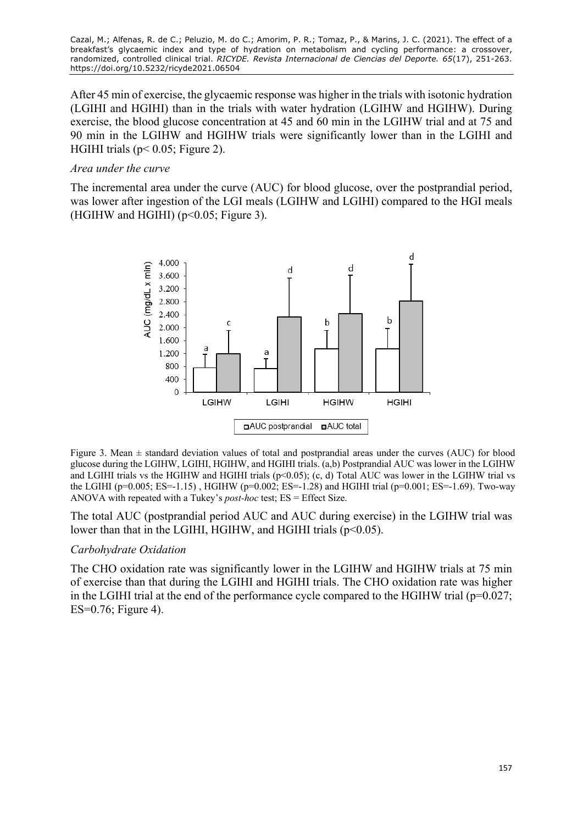After 45 min of exercise, the glycaemic response was higher in the trials with isotonic hydration (LGIHI and HGIHI) than in the trials with water hydration (LGIHW and HGIHW). During exercise, the blood glucose concentration at 45 and 60 min in the LGIHW trial and at 75 and 90 min in the LGIHW and HGIHW trials were significantly lower than in the LGIHI and HGIHI trials ( $p < 0.05$ ; Figure 2).

#### *Area under the curve*

The incremental area under the curve (AUC) for blood glucose, over the postprandial period, was lower after ingestion of the LGI meals (LGIHW and LGIHI) compared to the HGI meals (HGIHW and HGIHI) ( $p<0.05$ ; Figure 3).



Figure 3. Mean ± standard deviation values of total and postprandial areas under the curves (AUC) for blood glucose during the LGIHW, LGIHI, HGIHW, and HGIHI trials. (a,b) Postprandial AUC was lower in the LGIHW and LGIHI trials vs the HGIHW and HGIHI trials (p<0.05); (c, d) Total AUC was lower in the LGIHW trial vs the LGIHI (p=0.005; ES=-1.15), HGIHW (p=0.002; ES=-1.28) and HGIHI trial (p=0.001; ES=-1.69). Two-way ANOVA with repeated with a Tukey's *post-hoc* test; ES = Effect Size.

The total AUC (postprandial period AUC and AUC during exercise) in the LGIHW trial was lower than that in the LGIHI, HGIHW, and HGIHI trials  $(p<0.05)$ .

#### *Carbohydrate Oxidation*

The CHO oxidation rate was significantly lower in the LGIHW and HGIHW trials at 75 min of exercise than that during the LGIHI and HGIHI trials. The CHO oxidation rate was higher in the LGIHI trial at the end of the performance cycle compared to the HGIHW trial ( $p=0.027$ ; ES=0.76; Figure 4).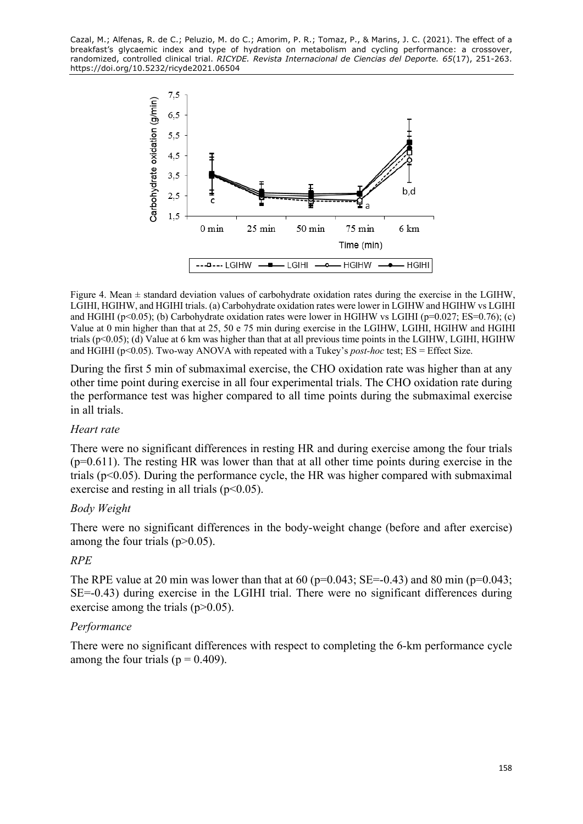

Figure 4. Mean  $\pm$  standard deviation values of carbohydrate oxidation rates during the exercise in the LGIHW, LGIHI, HGIHW, and HGIHI trials. (a) Carbohydrate oxidation rates were lower in LGIHW and HGIHW vs LGIHI and HGIHI (p<0.05); (b) Carbohydrate oxidation rates were lower in HGIHW vs LGIHI (p=0.027; ES=0.76); (c) Value at 0 min higher than that at 25, 50 e 75 min during exercise in the LGIHW, LGIHI, HGIHW and HGIHI trials (p<0.05); (d) Value at 6 km was higher than that at all previous time points in the LGIHW, LGIHI, HGIHW and HGIHI (p<0.05). Two-way ANOVA with repeated with a Tukey's *post-hoc* test; ES = Effect Size.

During the first 5 min of submaximal exercise, the CHO oxidation rate was higher than at any other time point during exercise in all four experimental trials. The CHO oxidation rate during the performance test was higher compared to all time points during the submaximal exercise in all trials.

#### *Heart rate*

There were no significant differences in resting HR and during exercise among the four trials  $(p=0.611)$ . The resting HR was lower than that at all other time points during exercise in the trials ( $p<0.05$ ). During the performance cycle, the HR was higher compared with submaximal exercise and resting in all trials  $(p<0.05)$ .

### *Body Weight*

There were no significant differences in the body-weight change (before and after exercise) among the four trials  $(p>0.05)$ .

### *RPE*

The RPE value at 20 min was lower than that at 60 ( $p=0.043$ ; SE=-0.43) and 80 min ( $p=0.043$ ; SE=-0.43) during exercise in the LGIHI trial. There were no significant differences during exercise among the trials  $(p>0.05)$ .

### *Performance*

There were no significant differences with respect to completing the 6-km performance cycle among the four trials ( $p = 0.409$ ).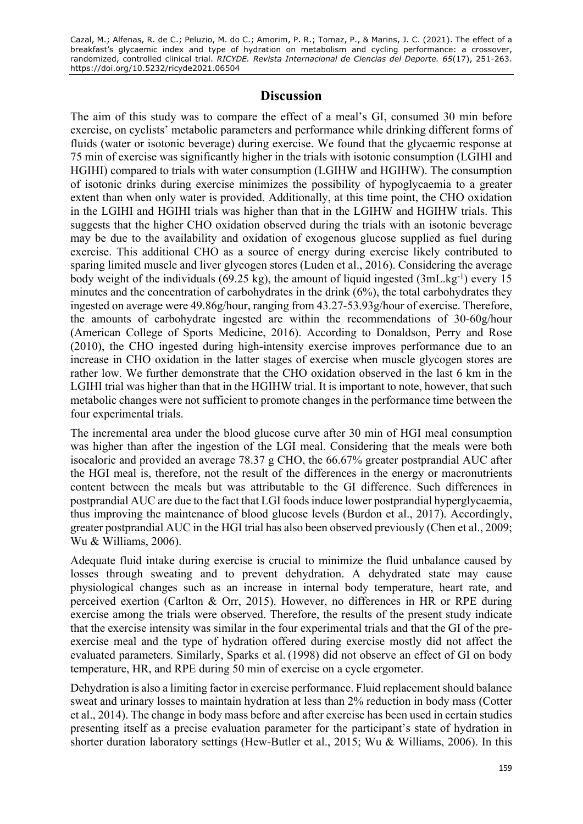## **Discussion**

The aim of this study was to compare the effect of a meal's GI, consumed 30 min before exercise, on cyclists' metabolic parameters and performance while drinking different forms of fluids (water or isotonic beverage) during exercise. We found that the glycaemic response at 75 min of exercise was significantly higher in the trials with isotonic consumption (LGIHI and HGIHI) compared to trials with water consumption (LGIHW and HGIHW). The consumption of isotonic drinks during exercise minimizes the possibility of hypoglycaemia to a greater extent than when only water is provided. Additionally, at this time point, the CHO oxidation in the LGIHI and HGIHI trials was higher than that in the LGIHW and HGIHW trials. This suggests that the higher CHO oxidation observed during the trials with an isotonic beverage may be due to the availability and oxidation of exogenous glucose supplied as fuel during exercise. This additional CHO as a source of energy during exercise likely contributed to sparing limited muscle and liver glycogen stores (Luden et al., 2016). Considering the average body weight of the individuals (69.25 kg), the amount of liquid ingested  $(3mL/kg^{-1})$  every 15 minutes and the concentration of carbohydrates in the drink (6%), the total carbohydrates they ingested on average were 49.86g/hour, ranging from 43.27-53.93g/hour of exercise. Therefore, the amounts of carbohydrate ingested are within the recommendations of 30-60g/hour (American College of Sports Medicine, 2016). According to Donaldson, Perry and Rose (2010), the CHO ingested during high-intensity exercise improves performance due to an increase in CHO oxidation in the latter stages of exercise when muscle glycogen stores are rather low. We further demonstrate that the CHO oxidation observed in the last 6 km in the LGIHI trial was higher than that in the HGIHW trial. It is important to note, however, that such metabolic changes were not sufficient to promote changes in the performance time between the four experimental trials.

The incremental area under the blood glucose curve after 30 min of HGI meal consumption was higher than after the ingestion of the LGI meal. Considering that the meals were both isocaloric and provided an average 78.37 g CHO, the 66.67% greater postprandial AUC after the HGI meal is, therefore, not the result of the differences in the energy or macronutrients content between the meals but was attributable to the GI difference. Such differences in postprandial AUC are due to the fact that LGI foods induce lower postprandial hyperglycaemia, thus improving the maintenance of blood glucose levels (Burdon et al., 2017). Accordingly, greater postprandial AUC in the HGI trial has also been observed previously (Chen et al., 2009; Wu & Williams, 2006).

Adequate fluid intake during exercise is crucial to minimize the fluid unbalance caused by losses through sweating and to prevent dehydration. A dehydrated state may cause physiological changes such as an increase in internal body temperature, heart rate, and perceived exertion (Carlton & Orr, 2015). However, no differences in HR or RPE during exercise among the trials were observed. Therefore, the results of the present study indicate that the exercise intensity was similar in the four experimental trials and that the GI of the preexercise meal and the type of hydration offered during exercise mostly did not affect the evaluated parameters. Similarly, Sparks et al. (1998) did not observe an effect of GI on body temperature, HR, and RPE during 50 min of exercise on a cycle ergometer.

Dehydration is also a limiting factor in exercise performance. Fluid replacement should balance sweat and urinary losses to maintain hydration at less than 2% reduction in body mass (Cotter et al., 2014). The change in body mass before and after exercise has been used in certain studies presenting itself as a precise evaluation parameter for the participant's state of hydration in shorter duration laboratory settings (Hew-Butler et al., 2015; Wu & Williams, 2006). In this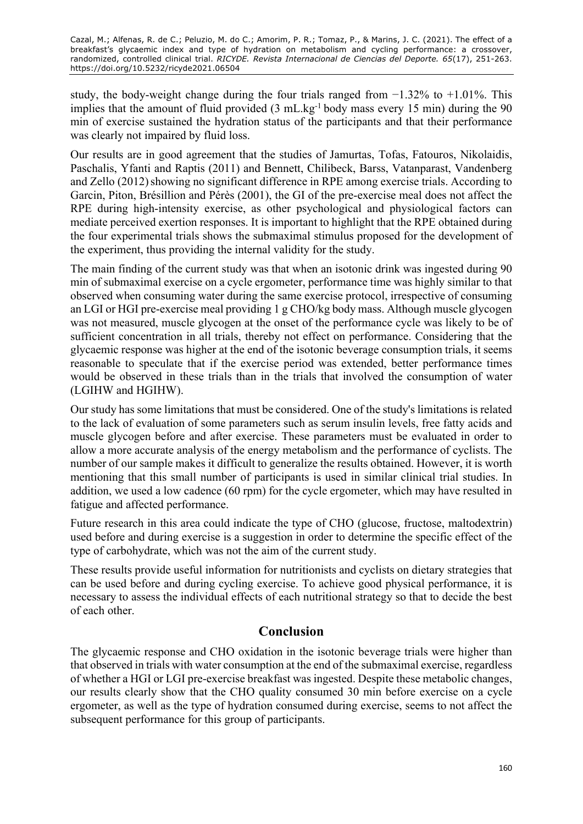study, the body-weight change during the four trials ranged from  $-1.32\%$  to  $+1.01\%$ . This implies that the amount of fluid provided  $(3 \text{ mL} \cdot \text{kg}^{-1} \text{ body mass every } 15 \text{ min})$  during the 90 min of exercise sustained the hydration status of the participants and that their performance was clearly not impaired by fluid loss.

Our results are in good agreement that the studies of Jamurtas, Tofas, Fatouros, Nikolaidis, Paschalis, Yfanti and Raptis (2011) and Bennett, Chilibeck, Barss, Vatanparast, Vandenberg and Zello (2012) showing no significant difference in RPE among exercise trials. According to Garcin, Piton, Brésillion and Pérès (2001), the GI of the pre-exercise meal does not affect the RPE during high-intensity exercise, as other psychological and physiological factors can mediate perceived exertion responses. It is important to highlight that the RPE obtained during the four experimental trials shows the submaximal stimulus proposed for the development of the experiment, thus providing the internal validity for the study.

The main finding of the current study was that when an isotonic drink was ingested during 90 min of submaximal exercise on a cycle ergometer, performance time was highly similar to that observed when consuming water during the same exercise protocol, irrespective of consuming an LGI or HGI pre-exercise meal providing 1 g CHO/kg body mass. Although muscle glycogen was not measured, muscle glycogen at the onset of the performance cycle was likely to be of sufficient concentration in all trials, thereby not effect on performance. Considering that the glycaemic response was higher at the end of the isotonic beverage consumption trials, it seems reasonable to speculate that if the exercise period was extended, better performance times would be observed in these trials than in the trials that involved the consumption of water (LGIHW and HGIHW).

Our study has some limitations that must be considered. One of the study's limitations is related to the lack of evaluation of some parameters such as serum insulin levels, free fatty acids and muscle glycogen before and after exercise. These parameters must be evaluated in order to allow a more accurate analysis of the energy metabolism and the performance of cyclists. The number of our sample makes it difficult to generalize the results obtained. However, it is worth mentioning that this small number of participants is used in similar clinical trial studies. In addition, we used a low cadence (60 rpm) for the cycle ergometer, which may have resulted in fatigue and affected performance.

Future research in this area could indicate the type of CHO (glucose, fructose, maltodextrin) used before and during exercise is a suggestion in order to determine the specific effect of the type of carbohydrate, which was not the aim of the current study.

These results provide useful information for nutritionists and cyclists on dietary strategies that can be used before and during cycling exercise. To achieve good physical performance, it is necessary to assess the individual effects of each nutritional strategy so that to decide the best of each other.

## **Conclusion**

The glycaemic response and CHO oxidation in the isotonic beverage trials were higher than that observed in trials with water consumption at the end of the submaximal exercise, regardless of whether a HGI or LGI pre-exercise breakfast was ingested. Despite these metabolic changes, our results clearly show that the CHO quality consumed 30 min before exercise on a cycle ergometer, as well as the type of hydration consumed during exercise, seems to not affect the subsequent performance for this group of participants.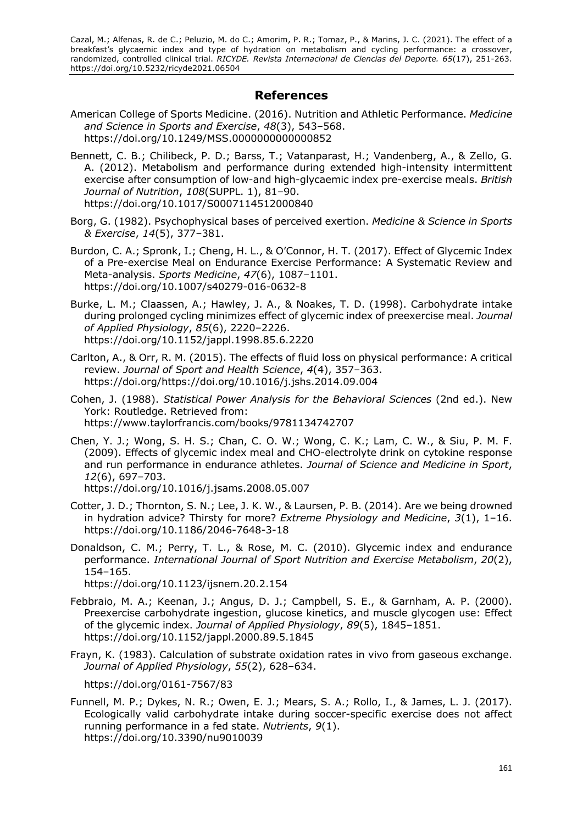### **References**

- American College of Sports Medicine. (2016). Nutrition and Athletic Performance. *Medicine and Science in Sports and Exercise*, *48*(3), 543–568. https://doi.org/10.1249/MSS.0000000000000852
- Bennett, C. B.; Chilibeck, P. D.; Barss, T.; Vatanparast, H.; Vandenberg, A., & Zello, G. A. (2012). Metabolism and performance during extended high-intensity intermittent exercise after consumption of low-and high-glycaemic index pre-exercise meals. *British Journal of Nutrition*, *108*(SUPPL. 1), 81–90. https://doi.org/10.1017/S0007114512000840
- Borg, G. (1982). Psychophysical bases of perceived exertion. *Medicine & Science in Sports & Exercise*, *14*(5), 377–381.
- Burdon, C. A.; Spronk, I.; Cheng, H. L., & O'Connor, H. T. (2017). Effect of Glycemic Index of a Pre-exercise Meal on Endurance Exercise Performance: A Systematic Review and Meta-analysis. *Sports Medicine*, *47*(6), 1087–1101. https://doi.org/10.1007/s40279-016-0632-8
- Burke, L. M.; Claassen, A.; Hawley, J. A., & Noakes, T. D. (1998). Carbohydrate intake during prolonged cycling minimizes effect of glycemic index of preexercise meal. *Journal of Applied Physiology*, *85*(6), 2220–2226. https://doi.org/10.1152/jappl.1998.85.6.2220
- Carlton, A., & Orr, R. M. (2015). The effects of fluid loss on physical performance: A critical review. *Journal of Sport and Health Science*, *4*(4), 357–363. https://doi.org/https://doi.org/10.1016/j.jshs.2014.09.004
- Cohen, J. (1988). *Statistical Power Analysis for the Behavioral Sciences* (2nd ed.). New York: Routledge. Retrieved from: https://www.taylorfrancis.com/books/9781134742707
- Chen, Y. J.; Wong, S. H. S.; Chan, C. O. W.; Wong, C. K.; Lam, C. W., & Siu, P. M. F. (2009). Effects of glycemic index meal and CHO-electrolyte drink on cytokine response and run performance in endurance athletes. *Journal of Science and Medicine in Sport*, *12*(6), 697–703.

https://doi.org/10.1016/j.jsams.2008.05.007

- Cotter, J. D.; Thornton, S. N.; Lee, J. K. W., & Laursen, P. B. (2014). Are we being drowned in hydration advice? Thirsty for more? *Extreme Physiology and Medicine*, *3*(1), 1–16. https://doi.org/10.1186/2046-7648-3-18
- Donaldson, C. M.; Perry, T. L., & Rose, M. C. (2010). Glycemic index and endurance performance. *International Journal of Sport Nutrition and Exercise Metabolism*, *20*(2), 154–165.

https://doi.org/10.1123/ijsnem.20.2.154

- Febbraio, M. A.; Keenan, J.; Angus, D. J.; Campbell, S. E., & Garnham, A. P. (2000). Preexercise carbohydrate ingestion, glucose kinetics, and muscle glycogen use: Effect of the glycemic index. *Journal of Applied Physiology*, *89*(5), 1845–1851. https://doi.org/10.1152/jappl.2000.89.5.1845
- Frayn, K. (1983). Calculation of substrate oxidation rates in vivo from gaseous exchange. *Journal of Applied Physiology*, *55*(2), 628–634.

https://doi.org/0161-7567/83

Funnell, M. P.; Dykes, N. R.; Owen, E. J.; Mears, S. A.; Rollo, I., & James, L. J. (2017). Ecologically valid carbohydrate intake during soccer-specific exercise does not affect running performance in a fed state. *Nutrients*, *9*(1). https://doi.org/10.3390/nu9010039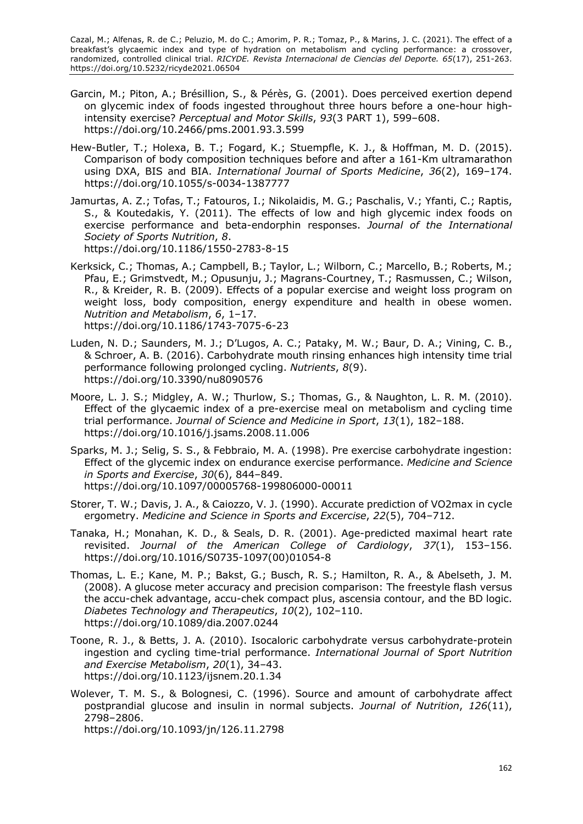- Garcin, M.; Piton, A.; Brésillion, S., & Pérès, G. (2001). Does perceived exertion depend on glycemic index of foods ingested throughout three hours before a one-hour highintensity exercise? *Perceptual and Motor Skills*, *93*(3 PART 1), 599–608. https://doi.org/10.2466/pms.2001.93.3.599
- Hew-Butler, T.; Holexa, B. T.; Fogard, K.; Stuempfle, K. J., & Hoffman, M. D. (2015). Comparison of body composition techniques before and after a 161-Km ultramarathon using DXA, BIS and BIA. *International Journal of Sports Medicine*, *36*(2), 169–174. https://doi.org/10.1055/s-0034-1387777
- Jamurtas, A. Z.; Tofas, T.; Fatouros, I.; Nikolaidis, M. G.; Paschalis, V.; Yfanti, C.; Raptis, S., & Koutedakis, Y. (2011). The effects of low and high glycemic index foods on exercise performance and beta-endorphin responses. *Journal of the International Society of Sports Nutrition*, *8*. https://doi.org/10.1186/1550-2783-8-15
- Kerksick, C.; Thomas, A.; Campbell, B.; Taylor, L.; Wilborn, C.; Marcello, B.; Roberts, M.; Pfau, E.; Grimstvedt, M.; Opusunju, J.; Magrans-Courtney, T.; Rasmussen, C.; Wilson, R., & Kreider, R. B. (2009). Effects of a popular exercise and weight loss program on weight loss, body composition, energy expenditure and health in obese women. *Nutrition and Metabolism*, *6*, 1–17. https://doi.org/10.1186/1743-7075-6-23
- Luden, N. D.; Saunders, M. J.; D'Lugos, A. C.; Pataky, M. W.; Baur, D. A.; Vining, C. B., & Schroer, A. B. (2016). Carbohydrate mouth rinsing enhances high intensity time trial performance following prolonged cycling. *Nutrients*, *8*(9). https://doi.org/10.3390/nu8090576
- Moore, L. J. S.; Midgley, A. W.; Thurlow, S.; Thomas, G., & Naughton, L. R. M. (2010). Effect of the glycaemic index of a pre-exercise meal on metabolism and cycling time trial performance. *Journal of Science and Medicine in Sport*, *13*(1), 182–188. https://doi.org/10.1016/j.jsams.2008.11.006
- Sparks, M. J.; Selig, S. S., & Febbraio, M. A. (1998). Pre exercise carbohydrate ingestion: Effect of the glycemic index on endurance exercise performance. *Medicine and Science in Sports and Exercise*, *30*(6), 844–849. https://doi.org/10.1097/00005768-199806000-00011
- Storer, T. W.; Davis, J. A., & Caiozzo, V. J. (1990). Accurate prediction of VO2max in cycle ergometry. *Medicine and Science in Sports and Excercise*, *22*(5), 704–712.
- Tanaka, H.; Monahan, K. D., & Seals, D. R. (2001). Age-predicted maximal heart rate revisited. *Journal of the American College of Cardiology*, *37*(1), 153–156. https://doi.org/10.1016/S0735-1097(00)01054-8
- Thomas, L. E.; Kane, M. P.; Bakst, G.; Busch, R. S.; Hamilton, R. A., & Abelseth, J. M. (2008). A glucose meter accuracy and precision comparison: The freestyle flash versus the accu-chek advantage, accu-chek compact plus, ascensia contour, and the BD logic. *Diabetes Technology and Therapeutics*, *10*(2), 102–110. https://doi.org/10.1089/dia.2007.0244
- Toone, R. J., & Betts, J. A. (2010). Isocaloric carbohydrate versus carbohydrate-protein ingestion and cycling time-trial performance. *International Journal of Sport Nutrition and Exercise Metabolism*, *20*(1), 34–43. https://doi.org/10.1123/ijsnem.20.1.34
- Wolever, T. M. S., & Bolognesi, C. (1996). Source and amount of carbohydrate affect postprandial glucose and insulin in normal subjects. *Journal of Nutrition*, *126*(11), 2798–2806. https://doi.org/10.1093/jn/126.11.2798